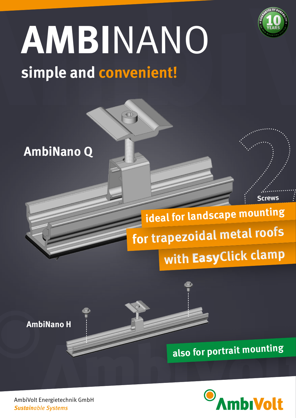

**Screws**

# **simple and convenient! AMBI**NANO

 $\overline{4}$ 

## **AmbiNano Q**

## **with** Easy**Click clamp for trapezoidal metal roofs ideal for landscape mounting**

**AmbiNano H**





AmbiVolt Energietechnik GmbH *Sustainable Systems*